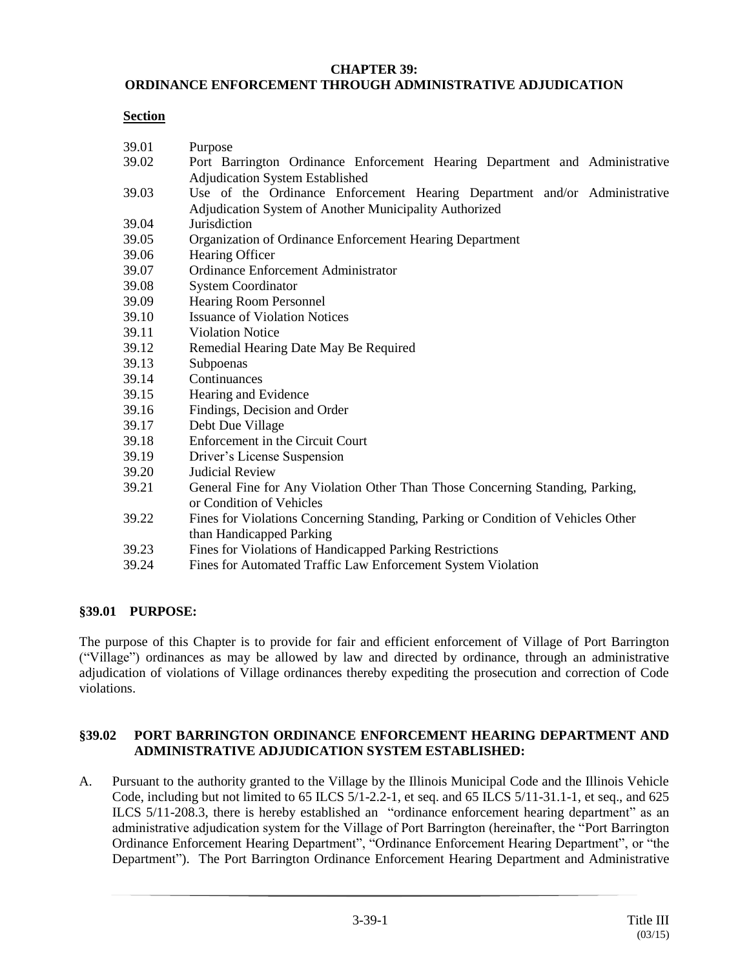#### **CHAPTER 39:**

## **ORDINANCE ENFORCEMENT THROUGH ADMINISTRATIVE ADJUDICATION**

#### **Section**

| 39.01 | Purpose                                                                          |
|-------|----------------------------------------------------------------------------------|
| 39.02 | Port Barrington Ordinance Enforcement Hearing Department and Administrative      |
|       | Adjudication System Established                                                  |
| 39.03 | Use of the Ordinance Enforcement Hearing Department and/or Administrative        |
|       | Adjudication System of Another Municipality Authorized                           |
| 39.04 | Jurisdiction                                                                     |
| 39.05 | Organization of Ordinance Enforcement Hearing Department                         |
| 39.06 | Hearing Officer                                                                  |
| 39.07 | Ordinance Enforcement Administrator                                              |
| 39.08 | <b>System Coordinator</b>                                                        |
| 39.09 | Hearing Room Personnel                                                           |
| 39.10 | <b>Issuance of Violation Notices</b>                                             |
| 39.11 | <b>Violation Notice</b>                                                          |
| 39.12 | Remedial Hearing Date May Be Required                                            |
| 39.13 | Subpoenas                                                                        |
| 39.14 | Continuances                                                                     |
| 39.15 | Hearing and Evidence                                                             |
| 39.16 | Findings, Decision and Order                                                     |
| 39.17 | Debt Due Village                                                                 |
| 39.18 | Enforcement in the Circuit Court                                                 |
| 39.19 | Driver's License Suspension                                                      |
| 39.20 | <b>Judicial Review</b>                                                           |
| 39.21 | General Fine for Any Violation Other Than Those Concerning Standing, Parking,    |
|       | or Condition of Vehicles                                                         |
| 39.22 | Fines for Violations Concerning Standing, Parking or Condition of Vehicles Other |
|       | than Handicapped Parking                                                         |
| 39.23 | Fines for Violations of Handicapped Parking Restrictions                         |
| 39.24 | Fines for Automated Traffic Law Enforcement System Violation                     |
|       |                                                                                  |
|       |                                                                                  |

# **§39.01 PURPOSE:**

The purpose of this Chapter is to provide for fair and efficient enforcement of Village of Port Barrington ("Village") ordinances as may be allowed by law and directed by ordinance, through an administrative adjudication of violations of Village ordinances thereby expediting the prosecution and correction of Code violations.

## **§39.02 PORT BARRINGTON ORDINANCE ENFORCEMENT HEARING DEPARTMENT AND ADMINISTRATIVE ADJUDICATION SYSTEM ESTABLISHED:**

A. Pursuant to the authority granted to the Village by the Illinois Municipal Code and the Illinois Vehicle Code, including but not limited to 65 ILCS 5/1-2.2-1, et seq. and 65 ILCS 5/11-31.1-1, et seq., and 625 ILCS 5/11-208.3, there is hereby established an "ordinance enforcement hearing department" as an administrative adjudication system for the Village of Port Barrington (hereinafter, the "Port Barrington Ordinance Enforcement Hearing Department", "Ordinance Enforcement Hearing Department", or "the Department"). The Port Barrington Ordinance Enforcement Hearing Department and Administrative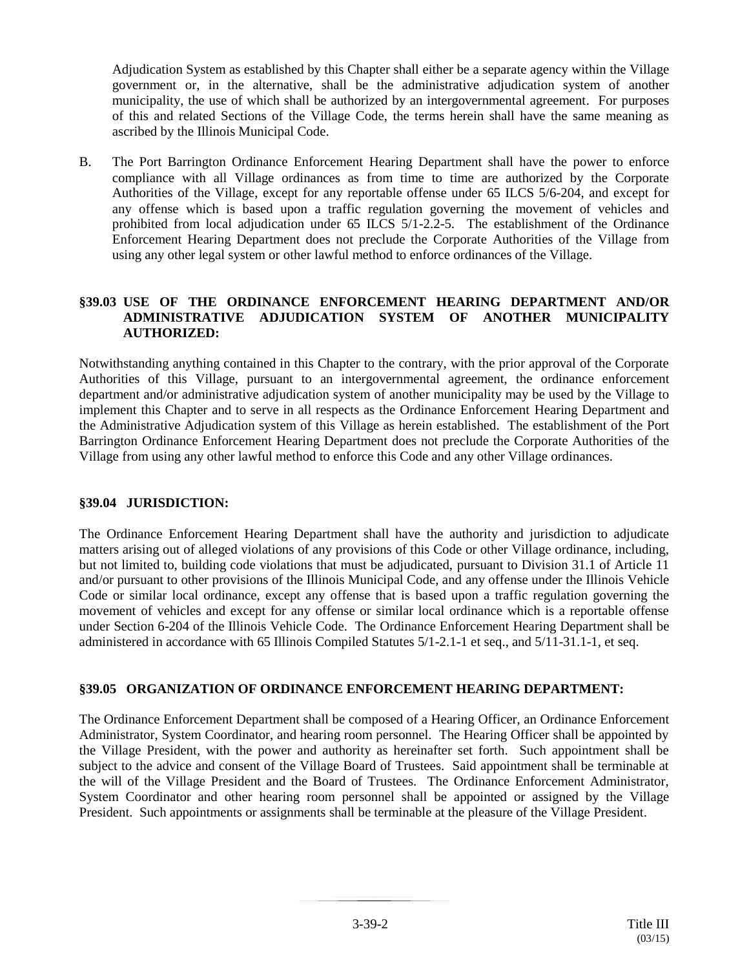Adjudication System as established by this Chapter shall either be a separate agency within the Village government or, in the alternative, shall be the administrative adjudication system of another municipality, the use of which shall be authorized by an intergovernmental agreement. For purposes of this and related Sections of the Village Code, the terms herein shall have the same meaning as ascribed by the Illinois Municipal Code.

B. The Port Barrington Ordinance Enforcement Hearing Department shall have the power to enforce compliance with all Village ordinances as from time to time are authorized by the Corporate Authorities of the Village, except for any reportable offense under 65 ILCS 5/6-204, and except for any offense which is based upon a traffic regulation governing the movement of vehicles and prohibited from local adjudication under 65 ILCS 5/1-2.2-5. The establishment of the Ordinance Enforcement Hearing Department does not preclude the Corporate Authorities of the Village from using any other legal system or other lawful method to enforce ordinances of the Village.

### **§39.03 USE OF THE ORDINANCE ENFORCEMENT HEARING DEPARTMENT AND/OR ADMINISTRATIVE ADJUDICATION SYSTEM OF ANOTHER MUNICIPALITY AUTHORIZED:**

Notwithstanding anything contained in this Chapter to the contrary, with the prior approval of the Corporate Authorities of this Village, pursuant to an intergovernmental agreement, the ordinance enforcement department and/or administrative adjudication system of another municipality may be used by the Village to implement this Chapter and to serve in all respects as the Ordinance Enforcement Hearing Department and the Administrative Adjudication system of this Village as herein established. The establishment of the Port Barrington Ordinance Enforcement Hearing Department does not preclude the Corporate Authorities of the Village from using any other lawful method to enforce this Code and any other Village ordinances.

#### **§39.04 JURISDICTION:**

The Ordinance Enforcement Hearing Department shall have the authority and jurisdiction to adjudicate matters arising out of alleged violations of any provisions of this Code or other Village ordinance, including, but not limited to, building code violations that must be adjudicated, pursuant to Division 31.1 of Article 11 and/or pursuant to other provisions of the Illinois Municipal Code, and any offense under the Illinois Vehicle Code or similar local ordinance, except any offense that is based upon a traffic regulation governing the movement of vehicles and except for any offense or similar local ordinance which is a reportable offense under Section 6-204 of the Illinois Vehicle Code. The Ordinance Enforcement Hearing Department shall be administered in accordance with 65 Illinois Compiled Statutes 5/1-2.1-1 et seq., and 5/11-31.1-1, et seq.

# **§39.05 ORGANIZATION OF ORDINANCE ENFORCEMENT HEARING DEPARTMENT:**

The Ordinance Enforcement Department shall be composed of a Hearing Officer, an Ordinance Enforcement Administrator, System Coordinator, and hearing room personnel. The Hearing Officer shall be appointed by the Village President, with the power and authority as hereinafter set forth. Such appointment shall be subject to the advice and consent of the Village Board of Trustees. Said appointment shall be terminable at the will of the Village President and the Board of Trustees. The Ordinance Enforcement Administrator, System Coordinator and other hearing room personnel shall be appointed or assigned by the Village President. Such appointments or assignments shall be terminable at the pleasure of the Village President.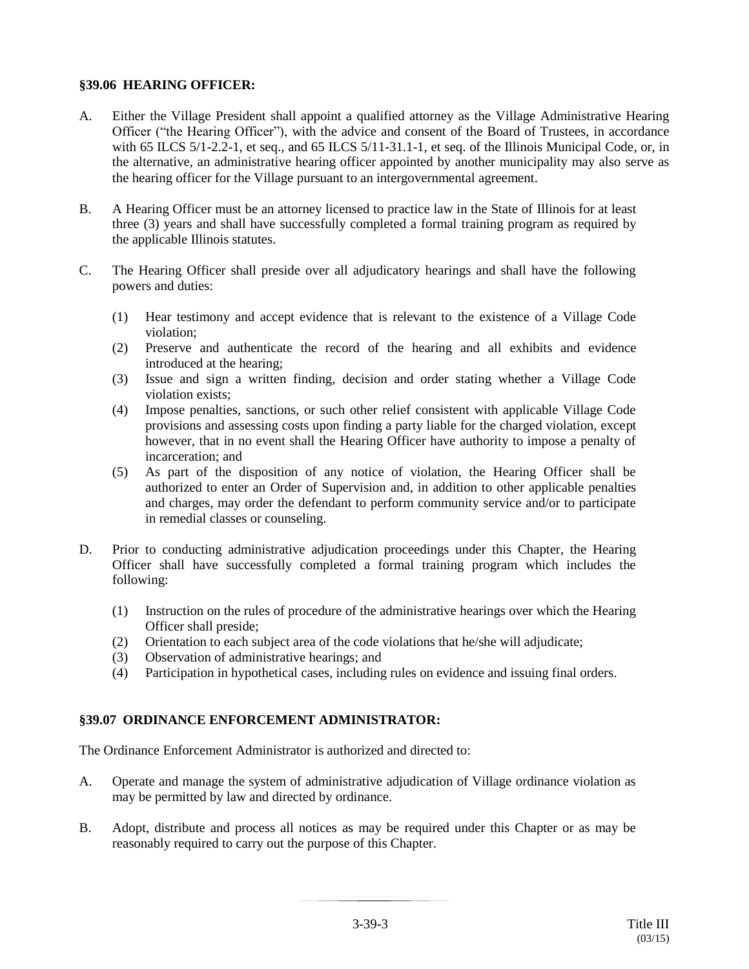## **§39.06 HEARING OFFICER:**

- A. Either the Village President shall appoint a qualified attorney as the Village Administrative Hearing Officer ("the Hearing Officer"), with the advice and consent of the Board of Trustees, in accordance with 65 ILCS 5/1-2.2-1, et seq., and 65 ILCS 5/11-31.1-1, et seq. of the Illinois Municipal Code, or, in the alternative, an administrative hearing officer appointed by another municipality may also serve as the hearing officer for the Village pursuant to an intergovernmental agreement.
- B. A Hearing Officer must be an attorney licensed to practice law in the State of Illinois for at least three (3) years and shall have successfully completed a formal training program as required by the applicable Illinois statutes.
- C. The Hearing Officer shall preside over all adjudicatory hearings and shall have the following powers and duties:
	- (1) Hear testimony and accept evidence that is relevant to the existence of a Village Code violation;
	- (2) Preserve and authenticate the record of the hearing and all exhibits and evidence introduced at the hearing;
	- (3) Issue and sign a written finding, decision and order stating whether a Village Code violation exists;
	- (4) Impose penalties, sanctions, or such other relief consistent with applicable Village Code provisions and assessing costs upon finding a party liable for the charged violation, except however, that in no event shall the Hearing Officer have authority to impose a penalty of incarceration; and
	- (5) As part of the disposition of any notice of violation, the Hearing Officer shall be authorized to enter an Order of Supervision and, in addition to other applicable penalties and charges, may order the defendant to perform community service and/or to participate in remedial classes or counseling.
- D. Prior to conducting administrative adjudication proceedings under this Chapter, the Hearing Officer shall have successfully completed a formal training program which includes the following:
	- (1) Instruction on the rules of procedure of the administrative hearings over which the Hearing Officer shall preside;
	- (2) Orientation to each subject area of the code violations that he/she will adjudicate;
	- (3) Observation of administrative hearings; and
	- (4) Participation in hypothetical cases, including rules on evidence and issuing final orders.

# **§39.07 ORDINANCE ENFORCEMENT ADMINISTRATOR:**

The Ordinance Enforcement Administrator is authorized and directed to:

- A. Operate and manage the system of administrative adjudication of Village ordinance violation as may be permitted by law and directed by ordinance.
- B. Adopt, distribute and process all notices as may be required under this Chapter or as may be reasonably required to carry out the purpose of this Chapter.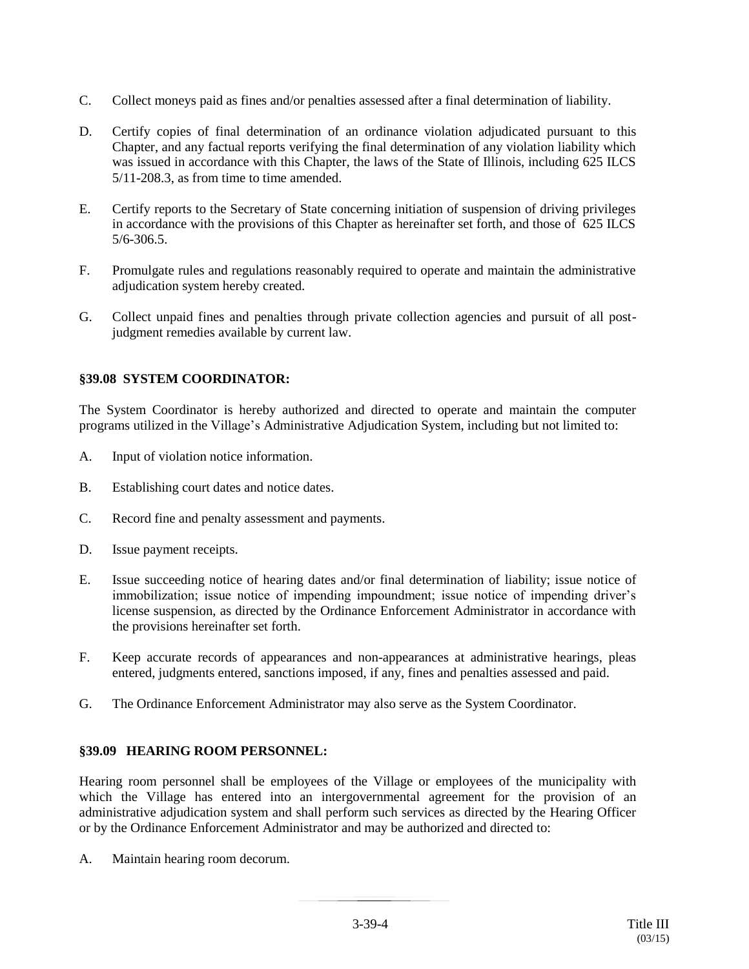- C. Collect moneys paid as fines and/or penalties assessed after a final determination of liability.
- D. Certify copies of final determination of an ordinance violation adjudicated pursuant to this Chapter, and any factual reports verifying the final determination of any violation liability which was issued in accordance with this Chapter, the laws of the State of Illinois, including 625 ILCS 5/11-208.3, as from time to time amended.
- E. Certify reports to the Secretary of State concerning initiation of suspension of driving privileges in accordance with the provisions of this Chapter as hereinafter set forth, and those of 625 ILCS 5/6-306.5.
- F. Promulgate rules and regulations reasonably required to operate and maintain the administrative adjudication system hereby created.
- G. Collect unpaid fines and penalties through private collection agencies and pursuit of all postjudgment remedies available by current law.

## **§39.08 SYSTEM COORDINATOR:**

The System Coordinator is hereby authorized and directed to operate and maintain the computer programs utilized in the Village's Administrative Adjudication System, including but not limited to:

- A. Input of violation notice information.
- B. Establishing court dates and notice dates.
- C. Record fine and penalty assessment and payments.
- D. Issue payment receipts.
- E. Issue succeeding notice of hearing dates and/or final determination of liability; issue notice of immobilization; issue notice of impending impoundment; issue notice of impending driver's license suspension, as directed by the Ordinance Enforcement Administrator in accordance with the provisions hereinafter set forth.
- F. Keep accurate records of appearances and non-appearances at administrative hearings, pleas entered, judgments entered, sanctions imposed, if any, fines and penalties assessed and paid.
- G. The Ordinance Enforcement Administrator may also serve as the System Coordinator.

#### **§39.09 HEARING ROOM PERSONNEL:**

Hearing room personnel shall be employees of the Village or employees of the municipality with which the Village has entered into an intergovernmental agreement for the provision of an administrative adjudication system and shall perform such services as directed by the Hearing Officer or by the Ordinance Enforcement Administrator and may be authorized and directed to:

A. Maintain hearing room decorum.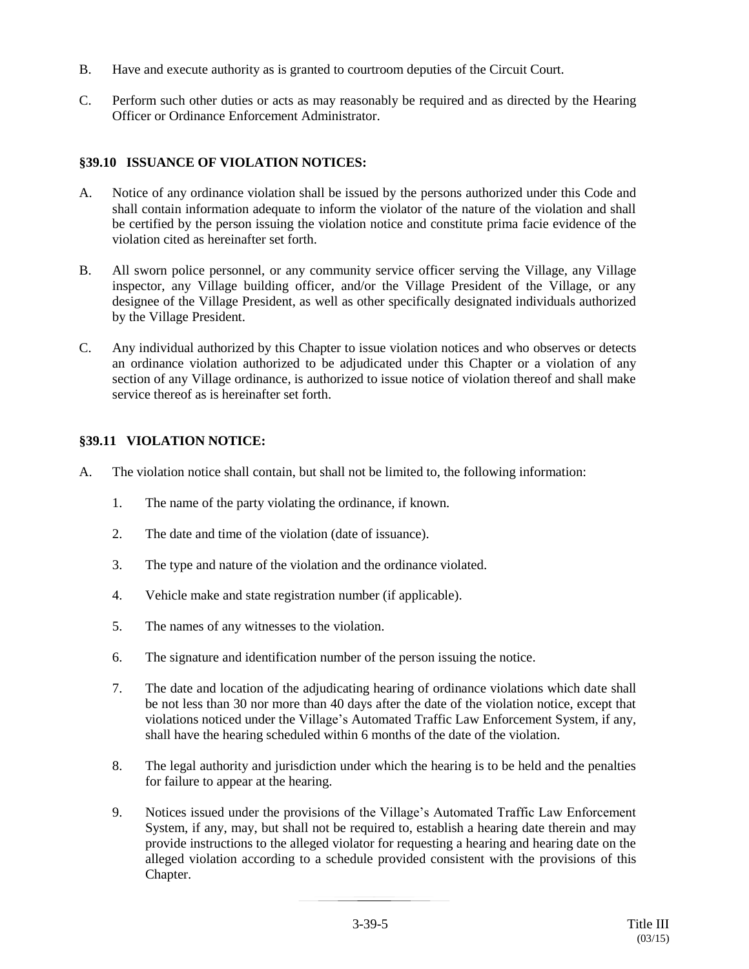- B. Have and execute authority as is granted to courtroom deputies of the Circuit Court.
- C. Perform such other duties or acts as may reasonably be required and as directed by the Hearing Officer or Ordinance Enforcement Administrator.

## **§39.10 ISSUANCE OF VIOLATION NOTICES:**

- A. Notice of any ordinance violation shall be issued by the persons authorized under this Code and shall contain information adequate to inform the violator of the nature of the violation and shall be certified by the person issuing the violation notice and constitute prima facie evidence of the violation cited as hereinafter set forth.
- B. All sworn police personnel, or any community service officer serving the Village, any Village inspector, any Village building officer, and/or the Village President of the Village, or any designee of the Village President, as well as other specifically designated individuals authorized by the Village President.
- C. Any individual authorized by this Chapter to issue violation notices and who observes or detects an ordinance violation authorized to be adjudicated under this Chapter or a violation of any section of any Village ordinance, is authorized to issue notice of violation thereof and shall make service thereof as is hereinafter set forth.

# **§39.11 VIOLATION NOTICE:**

- A. The violation notice shall contain, but shall not be limited to, the following information:
	- 1. The name of the party violating the ordinance, if known.
	- 2. The date and time of the violation (date of issuance).
	- 3. The type and nature of the violation and the ordinance violated.
	- 4. Vehicle make and state registration number (if applicable).
	- 5. The names of any witnesses to the violation.
	- 6. The signature and identification number of the person issuing the notice.
	- 7. The date and location of the adjudicating hearing of ordinance violations which date shall be not less than 30 nor more than 40 days after the date of the violation notice, except that violations noticed under the Village's Automated Traffic Law Enforcement System, if any, shall have the hearing scheduled within 6 months of the date of the violation.
	- 8. The legal authority and jurisdiction under which the hearing is to be held and the penalties for failure to appear at the hearing.
	- 9. Notices issued under the provisions of the Village's Automated Traffic Law Enforcement System, if any, may, but shall not be required to, establish a hearing date therein and may provide instructions to the alleged violator for requesting a hearing and hearing date on the alleged violation according to a schedule provided consistent with the provisions of this Chapter.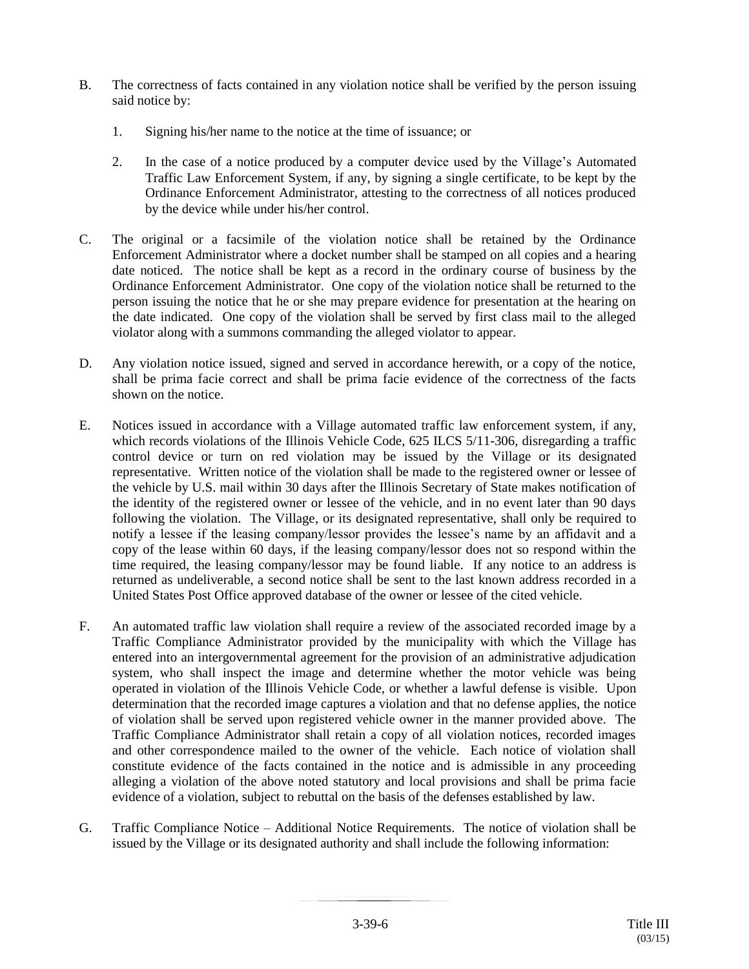- B. The correctness of facts contained in any violation notice shall be verified by the person issuing said notice by:
	- 1. Signing his/her name to the notice at the time of issuance; or
	- 2. In the case of a notice produced by a computer device used by the Village's Automated Traffic Law Enforcement System, if any, by signing a single certificate, to be kept by the Ordinance Enforcement Administrator, attesting to the correctness of all notices produced by the device while under his/her control.
- C. The original or a facsimile of the violation notice shall be retained by the Ordinance Enforcement Administrator where a docket number shall be stamped on all copies and a hearing date noticed. The notice shall be kept as a record in the ordinary course of business by the Ordinance Enforcement Administrator. One copy of the violation notice shall be returned to the person issuing the notice that he or she may prepare evidence for presentation at the hearing on the date indicated. One copy of the violation shall be served by first class mail to the alleged violator along with a summons commanding the alleged violator to appear.
- D. Any violation notice issued, signed and served in accordance herewith, or a copy of the notice, shall be prima facie correct and shall be prima facie evidence of the correctness of the facts shown on the notice.
- E. Notices issued in accordance with a Village automated traffic law enforcement system, if any, which records violations of the Illinois Vehicle Code, 625 ILCS 5/11-306, disregarding a traffic control device or turn on red violation may be issued by the Village or its designated representative. Written notice of the violation shall be made to the registered owner or lessee of the vehicle by U.S. mail within 30 days after the Illinois Secretary of State makes notification of the identity of the registered owner or lessee of the vehicle, and in no event later than 90 days following the violation. The Village, or its designated representative, shall only be required to notify a lessee if the leasing company/lessor provides the lessee's name by an affidavit and a copy of the lease within 60 days, if the leasing company/lessor does not so respond within the time required, the leasing company/lessor may be found liable. If any notice to an address is returned as undeliverable, a second notice shall be sent to the last known address recorded in a United States Post Office approved database of the owner or lessee of the cited vehicle.
- F. An automated traffic law violation shall require a review of the associated recorded image by a Traffic Compliance Administrator provided by the municipality with which the Village has entered into an intergovernmental agreement for the provision of an administrative adjudication system, who shall inspect the image and determine whether the motor vehicle was being operated in violation of the Illinois Vehicle Code, or whether a lawful defense is visible. Upon determination that the recorded image captures a violation and that no defense applies, the notice of violation shall be served upon registered vehicle owner in the manner provided above. The Traffic Compliance Administrator shall retain a copy of all violation notices, recorded images and other correspondence mailed to the owner of the vehicle. Each notice of violation shall constitute evidence of the facts contained in the notice and is admissible in any proceeding alleging a violation of the above noted statutory and local provisions and shall be prima facie evidence of a violation, subject to rebuttal on the basis of the defenses established by law.
- G. Traffic Compliance Notice Additional Notice Requirements. The notice of violation shall be issued by the Village or its designated authority and shall include the following information: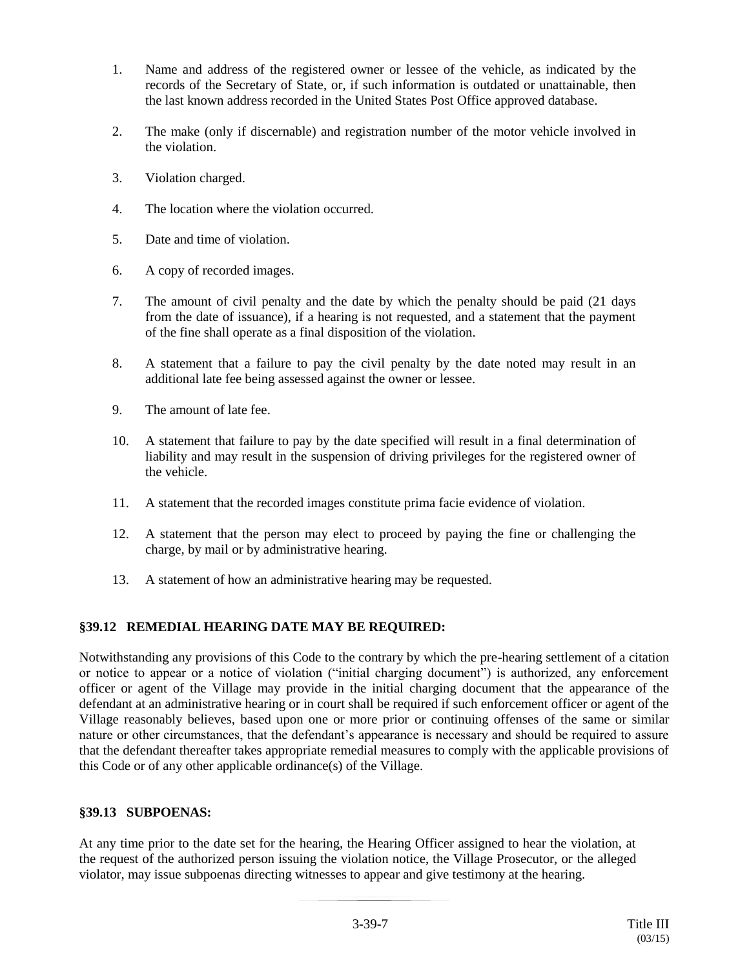- 1. Name and address of the registered owner or lessee of the vehicle, as indicated by the records of the Secretary of State, or, if such information is outdated or unattainable, then the last known address recorded in the United States Post Office approved database.
- 2. The make (only if discernable) and registration number of the motor vehicle involved in the violation.
- 3. Violation charged.
- 4. The location where the violation occurred.
- 5. Date and time of violation.
- 6. A copy of recorded images.
- 7. The amount of civil penalty and the date by which the penalty should be paid (21 days from the date of issuance), if a hearing is not requested, and a statement that the payment of the fine shall operate as a final disposition of the violation.
- 8. A statement that a failure to pay the civil penalty by the date noted may result in an additional late fee being assessed against the owner or lessee.
- 9. The amount of late fee.
- 10. A statement that failure to pay by the date specified will result in a final determination of liability and may result in the suspension of driving privileges for the registered owner of the vehicle.
- 11. A statement that the recorded images constitute prima facie evidence of violation.
- 12. A statement that the person may elect to proceed by paying the fine or challenging the charge, by mail or by administrative hearing.
- 13. A statement of how an administrative hearing may be requested.

# **§39.12 REMEDIAL HEARING DATE MAY BE REQUIRED:**

Notwithstanding any provisions of this Code to the contrary by which the pre-hearing settlement of a citation or notice to appear or a notice of violation ("initial charging document") is authorized, any enforcement officer or agent of the Village may provide in the initial charging document that the appearance of the defendant at an administrative hearing or in court shall be required if such enforcement officer or agent of the Village reasonably believes, based upon one or more prior or continuing offenses of the same or similar nature or other circumstances, that the defendant's appearance is necessary and should be required to assure that the defendant thereafter takes appropriate remedial measures to comply with the applicable provisions of this Code or of any other applicable ordinance(s) of the Village.

#### **§39.13 SUBPOENAS:**

At any time prior to the date set for the hearing, the Hearing Officer assigned to hear the violation, at the request of the authorized person issuing the violation notice, the Village Prosecutor, or the alleged violator, may issue subpoenas directing witnesses to appear and give testimony at the hearing.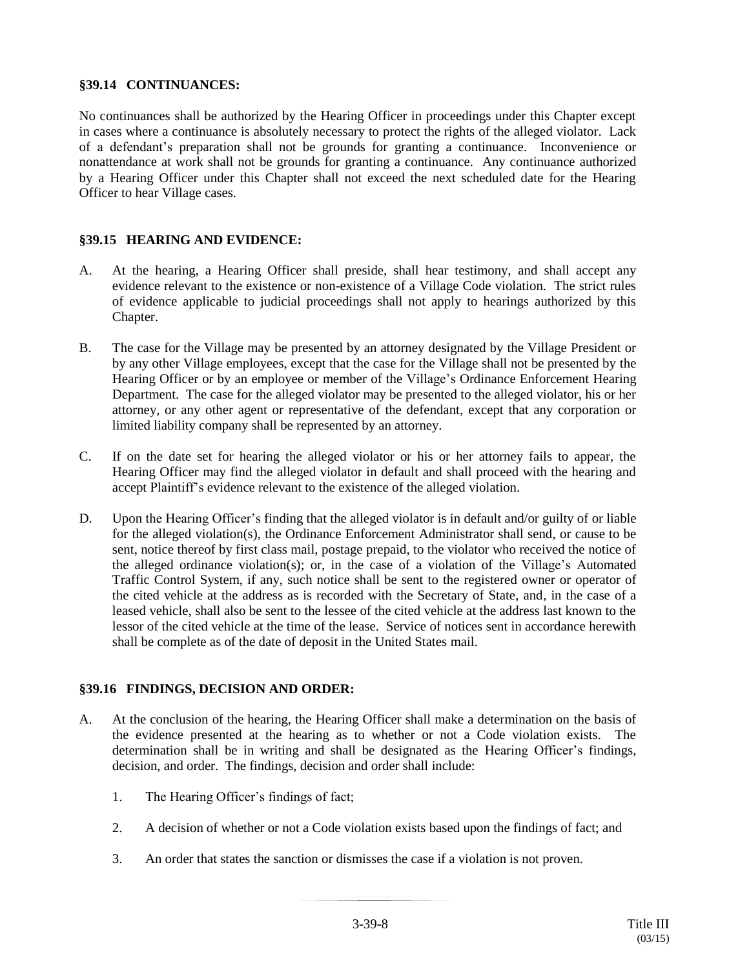#### **§39.14 CONTINUANCES:**

No continuances shall be authorized by the Hearing Officer in proceedings under this Chapter except in cases where a continuance is absolutely necessary to protect the rights of the alleged violator. Lack of a defendant's preparation shall not be grounds for granting a continuance. Inconvenience or nonattendance at work shall not be grounds for granting a continuance. Any continuance authorized by a Hearing Officer under this Chapter shall not exceed the next scheduled date for the Hearing Officer to hear Village cases.

# **§39.15 HEARING AND EVIDENCE:**

- A. At the hearing, a Hearing Officer shall preside, shall hear testimony, and shall accept any evidence relevant to the existence or non-existence of a Village Code violation. The strict rules of evidence applicable to judicial proceedings shall not apply to hearings authorized by this Chapter.
- B. The case for the Village may be presented by an attorney designated by the Village President or by any other Village employees, except that the case for the Village shall not be presented by the Hearing Officer or by an employee or member of the Village's Ordinance Enforcement Hearing Department. The case for the alleged violator may be presented to the alleged violator, his or her attorney, or any other agent or representative of the defendant, except that any corporation or limited liability company shall be represented by an attorney.
- C. If on the date set for hearing the alleged violator or his or her attorney fails to appear, the Hearing Officer may find the alleged violator in default and shall proceed with the hearing and accept Plaintiff's evidence relevant to the existence of the alleged violation.
- D. Upon the Hearing Officer's finding that the alleged violator is in default and/or guilty of or liable for the alleged violation(s), the Ordinance Enforcement Administrator shall send, or cause to be sent, notice thereof by first class mail, postage prepaid, to the violator who received the notice of the alleged ordinance violation(s); or, in the case of a violation of the Village's Automated Traffic Control System, if any, such notice shall be sent to the registered owner or operator of the cited vehicle at the address as is recorded with the Secretary of State, and, in the case of a leased vehicle, shall also be sent to the lessee of the cited vehicle at the address last known to the lessor of the cited vehicle at the time of the lease. Service of notices sent in accordance herewith shall be complete as of the date of deposit in the United States mail.

# **§39.16 FINDINGS, DECISION AND ORDER:**

- A. At the conclusion of the hearing, the Hearing Officer shall make a determination on the basis of the evidence presented at the hearing as to whether or not a Code violation exists. The determination shall be in writing and shall be designated as the Hearing Officer's findings, decision, and order. The findings, decision and order shall include:
	- 1. The Hearing Officer's findings of fact;
	- 2. A decision of whether or not a Code violation exists based upon the findings of fact; and
	- 3. An order that states the sanction or dismisses the case if a violation is not proven.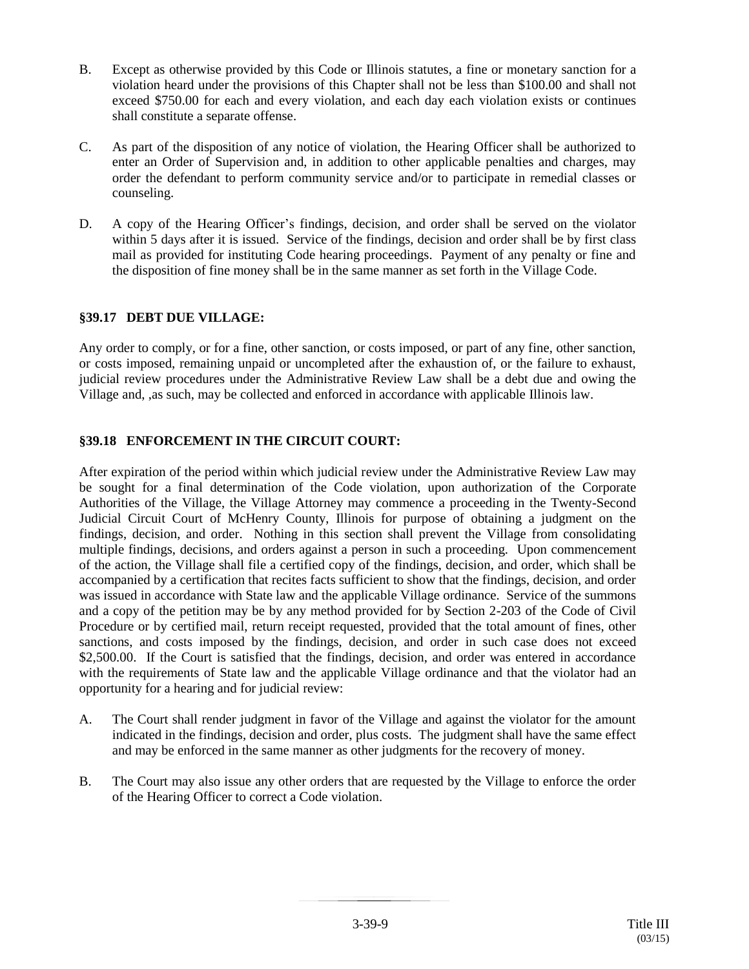- B. Except as otherwise provided by this Code or Illinois statutes, a fine or monetary sanction for a violation heard under the provisions of this Chapter shall not be less than \$100.00 and shall not exceed \$750.00 for each and every violation, and each day each violation exists or continues shall constitute a separate offense.
- C. As part of the disposition of any notice of violation, the Hearing Officer shall be authorized to enter an Order of Supervision and, in addition to other applicable penalties and charges, may order the defendant to perform community service and/or to participate in remedial classes or counseling.
- D. A copy of the Hearing Officer's findings, decision, and order shall be served on the violator within 5 days after it is issued. Service of the findings, decision and order shall be by first class mail as provided for instituting Code hearing proceedings. Payment of any penalty or fine and the disposition of fine money shall be in the same manner as set forth in the Village Code.

## **§39.17 DEBT DUE VILLAGE:**

Any order to comply, or for a fine, other sanction, or costs imposed, or part of any fine, other sanction, or costs imposed, remaining unpaid or uncompleted after the exhaustion of, or the failure to exhaust, judicial review procedures under the Administrative Review Law shall be a debt due and owing the Village and, ,as such, may be collected and enforced in accordance with applicable Illinois law.

## **§39.18 ENFORCEMENT IN THE CIRCUIT COURT:**

After expiration of the period within which judicial review under the Administrative Review Law may be sought for a final determination of the Code violation, upon authorization of the Corporate Authorities of the Village, the Village Attorney may commence a proceeding in the Twenty-Second Judicial Circuit Court of McHenry County, Illinois for purpose of obtaining a judgment on the findings, decision, and order. Nothing in this section shall prevent the Village from consolidating multiple findings, decisions, and orders against a person in such a proceeding. Upon commencement of the action, the Village shall file a certified copy of the findings, decision, and order, which shall be accompanied by a certification that recites facts sufficient to show that the findings, decision, and order was issued in accordance with State law and the applicable Village ordinance. Service of the summons and a copy of the petition may be by any method provided for by Section 2-203 of the Code of Civil Procedure or by certified mail, return receipt requested, provided that the total amount of fines, other sanctions, and costs imposed by the findings, decision, and order in such case does not exceed \$2,500.00. If the Court is satisfied that the findings, decision, and order was entered in accordance with the requirements of State law and the applicable Village ordinance and that the violator had an opportunity for a hearing and for judicial review:

- A. The Court shall render judgment in favor of the Village and against the violator for the amount indicated in the findings, decision and order, plus costs. The judgment shall have the same effect and may be enforced in the same manner as other judgments for the recovery of money.
- B. The Court may also issue any other orders that are requested by the Village to enforce the order of the Hearing Officer to correct a Code violation.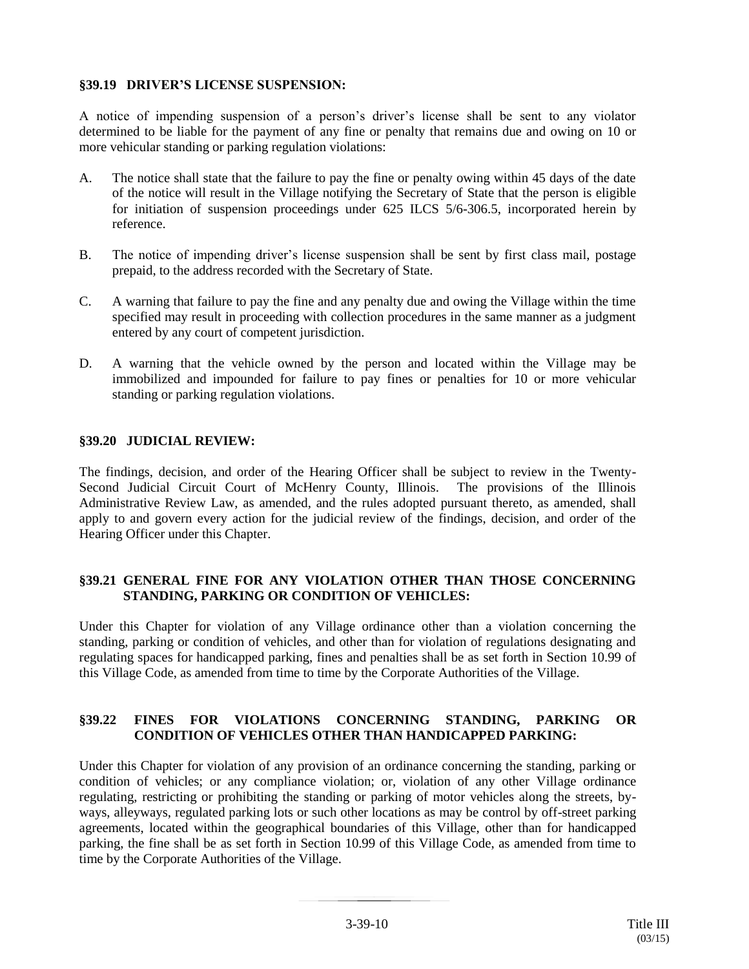## **§39.19 DRIVER'S LICENSE SUSPENSION:**

A notice of impending suspension of a person's driver's license shall be sent to any violator determined to be liable for the payment of any fine or penalty that remains due and owing on 10 or more vehicular standing or parking regulation violations:

- A. The notice shall state that the failure to pay the fine or penalty owing within 45 days of the date of the notice will result in the Village notifying the Secretary of State that the person is eligible for initiation of suspension proceedings under 625 ILCS 5/6-306.5, incorporated herein by reference.
- B. The notice of impending driver's license suspension shall be sent by first class mail, postage prepaid, to the address recorded with the Secretary of State.
- C. A warning that failure to pay the fine and any penalty due and owing the Village within the time specified may result in proceeding with collection procedures in the same manner as a judgment entered by any court of competent jurisdiction.
- D. A warning that the vehicle owned by the person and located within the Village may be immobilized and impounded for failure to pay fines or penalties for 10 or more vehicular standing or parking regulation violations.

#### **§39.20 JUDICIAL REVIEW:**

The findings, decision, and order of the Hearing Officer shall be subject to review in the Twenty-Second Judicial Circuit Court of McHenry County, Illinois. The provisions of the Illinois Administrative Review Law, as amended, and the rules adopted pursuant thereto, as amended, shall apply to and govern every action for the judicial review of the findings, decision, and order of the Hearing Officer under this Chapter.

## **§39.21 GENERAL FINE FOR ANY VIOLATION OTHER THAN THOSE CONCERNING STANDING, PARKING OR CONDITION OF VEHICLES:**

Under this Chapter for violation of any Village ordinance other than a violation concerning the standing, parking or condition of vehicles, and other than for violation of regulations designating and regulating spaces for handicapped parking, fines and penalties shall be as set forth in Section 10.99 of this Village Code, as amended from time to time by the Corporate Authorities of the Village.

## **§39.22 FINES FOR VIOLATIONS CONCERNING STANDING, PARKING OR CONDITION OF VEHICLES OTHER THAN HANDICAPPED PARKING:**

Under this Chapter for violation of any provision of an ordinance concerning the standing, parking or condition of vehicles; or any compliance violation; or, violation of any other Village ordinance regulating, restricting or prohibiting the standing or parking of motor vehicles along the streets, byways, alleyways, regulated parking lots or such other locations as may be control by off-street parking agreements, located within the geographical boundaries of this Village, other than for handicapped parking, the fine shall be as set forth in Section 10.99 of this Village Code, as amended from time to time by the Corporate Authorities of the Village.